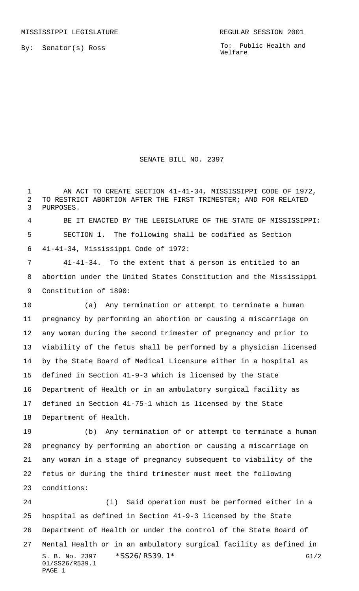By: Senator(s) Ross

To: Public Health and Welfare

## SENATE BILL NO. 2397

1 AN ACT TO CREATE SECTION 41-41-34, MISSISSIPPI CODE OF 1972, TO RESTRICT ABORTION AFTER THE FIRST TRIMESTER; AND FOR RELATED PURPOSES.

 BE IT ENACTED BY THE LEGISLATURE OF THE STATE OF MISSISSIPPI: SECTION 1. The following shall be codified as Section 41-41-34, Mississippi Code of 1972:

 41-41-34. To the extent that a person is entitled to an abortion under the United States Constitution and the Mississippi Constitution of 1890:

 (a) Any termination or attempt to terminate a human pregnancy by performing an abortion or causing a miscarriage on any woman during the second trimester of pregnancy and prior to viability of the fetus shall be performed by a physician licensed by the State Board of Medical Licensure either in a hospital as defined in Section 41-9-3 which is licensed by the State Department of Health or in an ambulatory surgical facility as defined in Section 41-75-1 which is licensed by the State Department of Health.

 (b) Any termination of or attempt to terminate a human pregnancy by performing an abortion or causing a miscarriage on any woman in a stage of pregnancy subsequent to viability of the fetus or during the third trimester must meet the following conditions:

S. B. No. 2397 \* SS26/R539.1\* G1/2 01/SS26/R539.1 PAGE 1 (i) Said operation must be performed either in a hospital as defined in Section 41-9-3 licensed by the State Department of Health or under the control of the State Board of Mental Health or in an ambulatory surgical facility as defined in